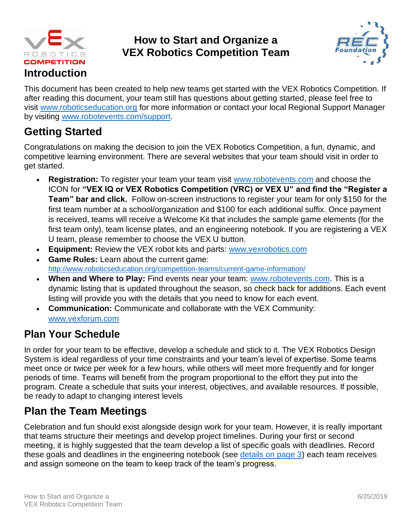

#### **How to Start and Organize a VEX Robotics Competition Team**



This document has been created to help new teams get started with the VEX Robotics Competition. If after reading this document, your team still has questions about getting started, please feel free to visit [www.roboticseducation.org](http://www.roboticseducation.org/) for more information or contact your local Regional Support Manager by visiting [www.robotevents.com/support.](http://www.robotevents.com/support)

## **Getting Started**

Congratulations on making the decision to join the VEX Robotics Competition, a fun, dynamic, and competitive learning environment. There are several websites that your team should visit in order to get started.

- **Registration:** To register your team your team visit [www.robotevents.com](http://www.robotevents.com/) and choose the ICON for **"VEX IQ or VEX Robotics Competition (VRC) or VEX U" and find the "Register a Team" bar and click.** Follow on-screen instructions to register your team for only \$150 for the first team number at a school/organization and \$100 for each additional suffix. Once payment is received, teams will receive a Welcome Kit that includes the sample game elements (for the first team only), team license plates, and an engineering notebook. If you are registering a VEX U team, please remember to choose the VEX U button.
- **Equipment:** Review the VEX robot kits and parts: [www.vexrobotics.com](http://www.vexrobotics.com/)
- **Game Rules:** Learn about the current game: <http://www.roboticseducation.org/competition-teams/current-game-information/>
- **When and Where to Play:** Find events near your team: [www.robotevents.com.](http://www.robotevents.com/) This is a dynamic listing that is updated throughout the season, so check back for additions. Each event listing will provide you with the details that you need to know for each event.
- **Communication:** Communicate and collaborate with the VEX Community: [www.vexforum.com](http://www.vexforum.com/)

# **Plan Your Schedule**

In order for your team to be effective, develop a schedule and stick to it. The VEX Robotics Design System is ideal regardless of your time constraints and your team's level of expertise. Some teams meet once or twice per week for a few hours, while others will meet more frequently and for longer periods of time. Teams will benefit from the program proportional to the effort they put into the program. Create a schedule that suits your interest, objectives, and available resources. If possible, be ready to adapt to changing interest levels

## **Plan the Team Meetings**

Celebration and fun should exist alongside design work for your team. However, it is really important that teams structure their meetings and develop project timelines. During your first or second meeting, it is highly suggested that the team develop a list of specific goals with deadlines. Record these goals and deadlines in the engineering notebook (see [details on page 3\)](#page-2-0) each team receives and assign someone on the team to keep track of the team's progress.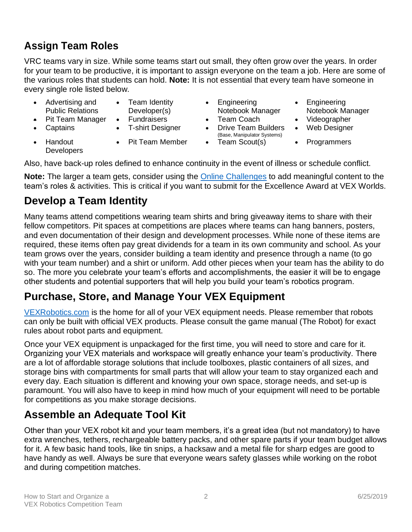## **Assign Team Roles**

VRC teams vary in size. While some teams start out small, they often grow over the years. In order for your team to be productive, it is important to assign everyone on the team a job. Here are some of the various roles that students can hold. **Note:** It is not essential that every team have someone in every single role listed below.

- Advertising and Public Relations • Team Identity Developer(s)
	-
- 

**Developers** 

• Handout

- 
- 
- Engineering Notebook Manager
- Pit Team Manager Fundraisers Team Coach Videographer
- Captains T-shirt Designer Drive Team Builders (Base, Manipulator Systems)
	- Pit Team Member Team Scout(s) Programmers
- Engineering Notebook Manager
- 
- Web Designer
- 

Also, have back-up roles defined to enhance continuity in the event of illness or schedule conflict.

**Note:** The larger a team gets, consider using the [Online Challenges](#page-5-0) to add meaningful content to the team's roles & activities. This is critical if you want to submit for the Excellence Award at VEX Worlds.

#### **Develop a Team Identity**

Many teams attend competitions wearing team shirts and bring giveaway items to share with their fellow competitors. Pit spaces at competitions are places where teams can hang banners, posters, and even documentation of their design and development processes. While none of these items are required, these items often pay great dividends for a team in its own community and school. As your team grows over the years, consider building a team identity and presence through a name (to go with your team number) and a shirt or uniform. Add other pieces when your team has the ability to do so. The more you celebrate your team's efforts and accomplishments, the easier it will be to engage other students and potential supporters that will help you build your team's robotics program.

## **Purchase, Store, and Manage Your VEX Equipment**

[VEXRobotics.com](http://www.vexrobotics.com/) is the home for all of your VEX equipment needs. Please remember that robots can only be built with official VEX products. Please consult the game manual (The Robot) for exact rules about robot parts and equipment.

Once your VEX equipment is unpackaged for the first time, you will need to store and care for it. Organizing your VEX materials and workspace will greatly enhance your team's productivity. There are a lot of affordable storage solutions that include toolboxes, plastic containers of all sizes, and storage bins with compartments for small parts that will allow your team to stay organized each and every day. Each situation is different and knowing your own space, storage needs, and set-up is paramount. You will also have to keep in mind how much of your equipment will need to be portable for competitions as you make storage decisions.

## **Assemble an Adequate Tool Kit**

Other than your VEX robot kit and your team members, it's a great idea (but not mandatory) to have extra wrenches, tethers, rechargeable battery packs, and other spare parts if your team budget allows for it. A few basic hand tools, like tin snips, a hacksaw and a metal file for sharp edges are good to have handy as well. Always be sure that everyone wears safety glasses while working on the robot and during competition matches.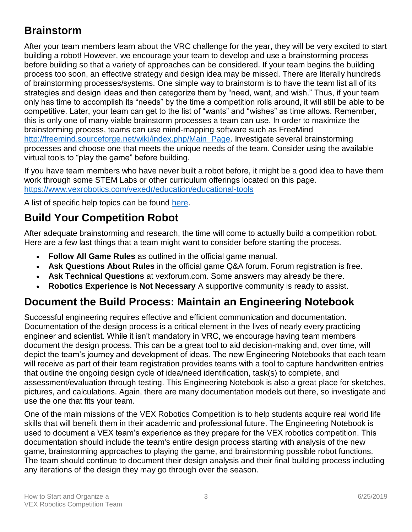## **Brainstorm**

After your team members learn about the VRC challenge for the year, they will be very excited to start building a robot! However, we encourage your team to develop and use a brainstorming process before building so that a variety of approaches can be considered. If your team begins the building process too soon, an effective strategy and design idea may be missed. There are literally hundreds of brainstorming processes/systems. One simple way to brainstorm is to have the team list all of its strategies and design ideas and then categorize them by "need, want, and wish." Thus, if your team only has time to accomplish its "needs" by the time a competition rolls around, it will still be able to be competitive. Later, your team can get to the list of "wants" and "wishes" as time allows. Remember, this is only one of many viable brainstorm processes a team can use. In order to maximize the brainstorming process, teams can use mind-mapping software such as FreeMind [http://freemind.sourceforge.net/wiki/index.php/Main\\_Page.](http://freemind.sourceforge.net/wiki/index.php/Main_Page) Investigate several brainstorming processes and choose one that meets the unique needs of the team. Consider using the available virtual tools to "play the game" before building.

If you have team members who have never built a robot before, it might be a good idea to have them work through some STEM Labs or other curriculum offerings located on this page. <https://www.vexrobotics.com/vexedr/education/educational-tools>

A list of specific help topics can be found [here.](https://help.vex.com/)

## **Build Your Competition Robot**

After adequate brainstorming and research, the time will come to actually build a competition robot. Here are a few last things that a team might want to consider before starting the process.

- **Follow All Game Rules** as outlined in the official game manual.
- **Ask Questions About Rules** in the official game Q&A forum. Forum registration is free.
- **Ask Technical Questions** at vexforum.com. Some answers may already be there.
- **Robotics Experience is Not Necessary** A supportive community is ready to assist.

#### <span id="page-2-0"></span>**Document the Build Process: Maintain an Engineering Notebook**

Successful engineering requires effective and efficient communication and documentation. Documentation of the design process is a critical element in the lives of nearly every practicing engineer and scientist. While it isn't mandatory in VRC, we encourage having team members document the design process. This can be a great tool to aid decision-making and, over time, will depict the team's journey and development of ideas. The new Engineering Notebooks that each team will receive as part of their team registration provides teams with a tool to capture handwritten entries that outline the ongoing design cycle of idea/need identification, task(s) to complete, and assessment/evaluation through testing. This Engineering Notebook is also a great place for sketches, pictures, and calculations. Again, there are many documentation models out there, so investigate and use the one that fits your team.

One of the main missions of the VEX Robotics Competition is to help students acquire real world life skills that will benefit them in their academic and professional future. The Engineering Notebook is used to document a VEX team's experience as they prepare for the VEX robotics competition. This documentation should include the team's entire design process starting with analysis of the new game, brainstorming approaches to playing the game, and brainstorming possible robot functions. The team should continue to document their design analysis and their final building process including any iterations of the design they may go through over the season.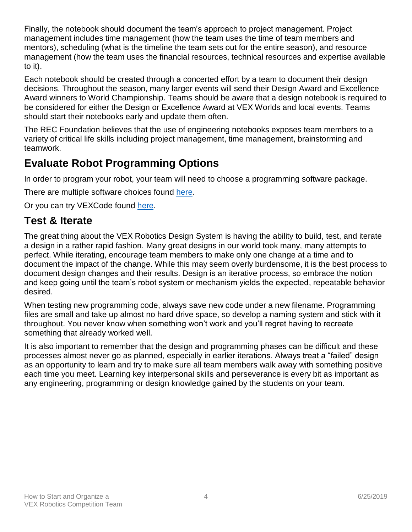Finally, the notebook should document the team's approach to project management. Project management includes time management (how the team uses the time of team members and mentors), scheduling (what is the timeline the team sets out for the entire season), and resource management (how the team uses the financial resources, technical resources and expertise available to it).

Each notebook should be created through a concerted effort by a team to document their design decisions. Throughout the season, many larger events will send their Design Award and Excellence Award winners to World Championship. Teams should be aware that a design notebook is required to be considered for either the Design or Excellence Award at VEX Worlds and local events. Teams should start their notebooks early and update them often.

The REC Foundation believes that the use of engineering notebooks exposes team members to a variety of critical life skills including project management, time management, brainstorming and teamwork.

## **Evaluate Robot Programming Options**

In order to program your robot, your team will need to choose a programming software package.

There are multiple software choices found [here.](https://www.vexrobotics.com/vexedr/products/programming)

Or you can try VEXCode found [here.](https://www.vexforum.com/t/vexcode-preview/58625)

#### **Test & Iterate**

The great thing about the VEX Robotics Design System is having the ability to build, test, and iterate a design in a rather rapid fashion. Many great designs in our world took many, many attempts to perfect. While iterating, encourage team members to make only one change at a time and to document the impact of the change. While this may seem overly burdensome, it is the best process to document design changes and their results. Design is an iterative process, so embrace the notion and keep going until the team's robot system or mechanism yields the expected, repeatable behavior desired.

When testing new programming code, always save new code under a new filename. Programming files are small and take up almost no hard drive space, so develop a naming system and stick with it throughout. You never know when something won't work and you'll regret having to recreate something that already worked well.

It is also important to remember that the design and programming phases can be difficult and these processes almost never go as planned, especially in earlier iterations. Always treat a "failed" design as an opportunity to learn and try to make sure all team members walk away with something positive each time you meet. Learning key interpersonal skills and perseverance is every bit as important as any engineering, programming or design knowledge gained by the students on your team.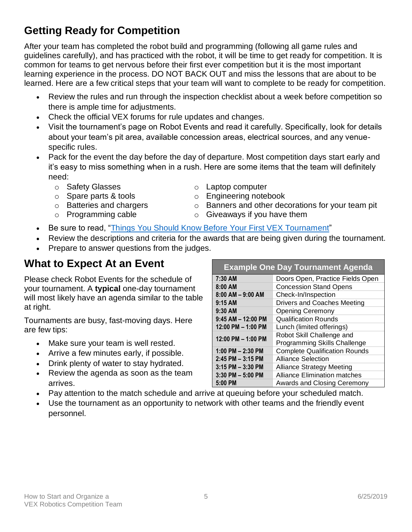# **Getting Ready for Competition**

After your team has completed the robot build and programming (following all game rules and guidelines carefully), and has practiced with the robot, it will be time to get ready for competition. It is common for teams to get nervous before their first ever competition but it is the most important learning experience in the process. DO NOT BACK OUT and miss the lessons that are about to be learned. Here are a few critical steps that your team will want to complete to be ready for competition.

- Review the rules and run through the inspection checklist about a week before competition so there is ample time for adjustments.
- Check the official VEX forums for rule updates and changes.
- Visit the tournament's page on Robot Events and read it carefully. Specifically, look for details about your team's pit area, available concession areas, electrical sources, and any venuespecific rules.
- Pack for the event the day before the day of departure. Most competition days start early and it's easy to miss something when in a rush. Here are some items that the team will definitely need:
	-
	- o Safety Glasses o Laptop computer
	- o Spare parts & tools o Engineering notebook
	- $\circ$  Batteries and chargers  $\circ$  Banners and other decorations for your team pit
	- $\circ$  Programming cable  $\circ$  Giveaways if you have them
- Be sure to read, ["Things You Should Know Before Your First VEX Tournament"](http://www.roboticseducation.org/documents/2013/06/101-things.pdf)
- Review the descriptions and criteria for the awards that are being given during the tournament.
- Prepare to answer questions from the judges.

#### **What to Expect At an Event**

Please check Robot Events for the schedule of your tournament. A **typical** one-day tournament will most likely have an agenda similar to the table at right.

Tournaments are busy, fast-moving days. Here are few tips:

- Make sure your team is well rested.
- Arrive a few minutes early, if possible.
- Drink plenty of water to stay hydrated.
- Review the agenda as soon as the team arrives.
- Pay attention to the match schedule and arrive at queuing before your scheduled match.
- Use the tournament as an opportunity to network with other teams and the friendly event personnel.

| <b>Example One Day Tournament Agenda</b> |                                                           |
|------------------------------------------|-----------------------------------------------------------|
| 7:30 AM                                  | Doors Open, Practice Fields Open                          |
| $8:00$ AM                                | <b>Concession Stand Opens</b>                             |
| $8:00$ AM $-9:00$ AM                     | Check-In/Inspection                                       |
| $9:15$ AM                                | <b>Drivers and Coaches Meeting</b>                        |
| 9:30 AM                                  | <b>Opening Ceremony</b>                                   |
| $9:45$ AM $-$ 12:00 PM                   | <b>Qualification Rounds</b>                               |
| 12:00 PM - 1:00 PM                       | Lunch (limited offerings)                                 |
| 12:00 PM - 1:00 PM                       | Robot Skill Challenge and<br>Programming Skills Challenge |
| 1:00 PM $-$ 2:30 PM                      | <b>Complete Qualification Rounds</b>                      |
| $2:45$ PM $-3:15$ PM                     | <b>Alliance Selection</b>                                 |
| $3:15$ PM $-3:30$ PM                     | <b>Alliance Strategy Meeting</b>                          |
| $3:30$ PM $-5:00$ PM                     | <b>Alliance Elimination matches</b>                       |
| 5:00 PM                                  | Awards and Closing Ceremony                               |